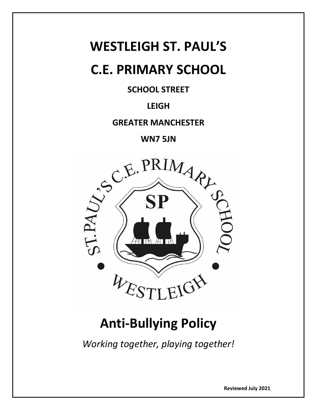# **WESTLEIGH ST. PAUL'S**

## **C.E. PRIMARY SCHOOL**

### **SCHOOL STREET**

### **LEIGH**

**GREATER MANCHESTER**

**WN7 5JN**



## **Anti-Bullying Policy**

*Working together, playing together!*

**Reviewed July 2021**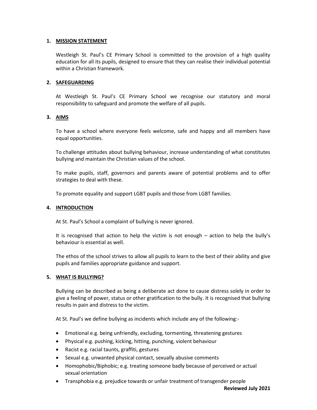#### **1. MISSION STATEMENT**

Westleigh St. Paul's CE Primary School is committed to the provision of a high quality education for all its pupils, designed to ensure that they can realise their individual potential within a Christian framework.

#### **2. SAFEGUARDING**

At Westleigh St. Paul's CE Primary School we recognise our statutory and moral responsibility to safeguard and promote the welfare of all pupils.

#### **3. AIMS**

To have a school where everyone feels welcome, safe and happy and all members have equal opportunities.

To challenge attitudes about bullying behaviour, increase understanding of what constitutes bullying and maintain the Christian values of the school.

To make pupils, staff, governors and parents aware of potential problems and to offer strategies to deal with these.

To promote equality and support LGBT pupils and those from LGBT families.

#### **4. INTRODUCTION**

At St. Paul's School a complaint of bullying is never ignored.

It is recognised that action to help the victim is not enough – action to help the bully's behaviour is essential as well.

The ethos of the school strives to allow all pupils to learn to the best of their ability and give pupils and families appropriate guidance and support.

#### **5. WHAT IS BULLYING?**

Bullying can be described as being a deliberate act done to cause distress solely in order to give a feeling of power, status or other gratification to the bully. It is recognised that bullying results in pain and distress to the victim.

At St. Paul's we define bullying as incidents which include any of the following:-

- Emotional e.g. being unfriendly, excluding, tormenting, threatening gestures
- Physical e.g. pushing, kicking, hitting, punching, violent behaviour
- Racist e.g. racial taunts, graffiti, gestures
- Sexual e.g. unwanted physical contact, sexually abusive comments
- Homophobic/Biphobic; e.g. treating someone badly because of perceived or actual sexual orientation
- Transphobia e.g. prejudice towards or unfair treatment of transgender people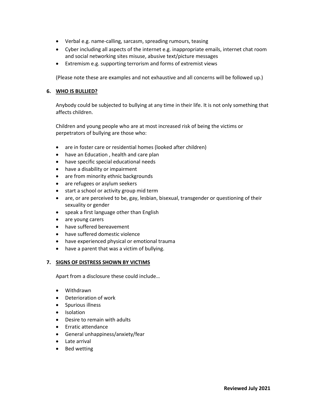- Verbal e.g. name-calling, sarcasm, spreading rumours, teasing
- Cyber including all aspects of the internet e.g. inappropriate emails, internet chat room and social networking sites misuse, abusive text/picture messages
- Extremism e.g. supporting terrorism and forms of extremist views

(Please note these are examples and not exhaustive and all concerns will be followed up.)

#### **6. WHO IS BULLIED?**

Anybody could be subjected to bullying at any time in their life. It is not only something that affects children.

Children and young people who are at most increased risk of being the victims or perpetrators of bullying are those who:

- are in foster care or residential homes (looked after children)
- have an Education , health and care plan
- have specific special educational needs
- have a disability or impairment
- are from minority ethnic backgrounds
- are refugees or asylum seekers
- start a school or activity group mid term
- are, or are perceived to be, gay, lesbian, bisexual, transgender or questioning of their sexuality or gender
- speak a first language other than English
- are young carers
- have suffered bereavement
- have suffered domestic violence
- have experienced physical or emotional trauma
- have a parent that was a victim of bullying.

#### **7. SIGNS OF DISTRESS SHOWN BY VICTIMS**

Apart from a disclosure these could include…

- Withdrawn
- Deterioration of work
- Spurious illness
- Isolation
- Desire to remain with adults
- Erratic attendance
- General unhappiness/anxiety/fear
- Late arrival
- Bed wetting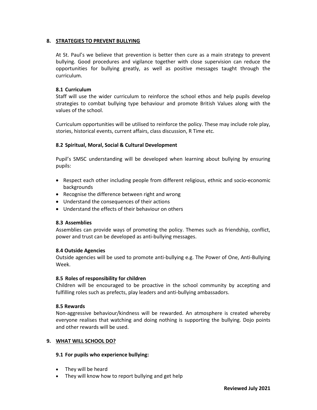#### **8. STRATEGIES TO PREVENT BULLYING**

At St. Paul's we believe that prevention is better then cure as a main strategy to prevent bullying. Good procedures and vigilance together with close supervision can reduce the opportunities for bullying greatly, as well as positive messages taught through the curriculum.

#### **8.1 Curriculum**

Staff will use the wider curriculum to reinforce the school ethos and help pupils develop strategies to combat bullying type behaviour and promote British Values along with the values of the school.

Curriculum opportunities will be utilised to reinforce the policy. These may include role play, stories, historical events, current affairs, class discussion, R Time etc.

#### **8.2 Spiritual, Moral, Social & Cultural Development**

Pupil's SMSC understanding will be developed when learning about bullying by ensuring pupils:

- Respect each other including people from different religious, ethnic and socio-economic backgrounds
- Recognise the difference between right and wrong
- Understand the consequences of their actions
- Understand the effects of their behaviour on others

#### **8.3 Assemblies**

Assemblies can provide ways of promoting the policy. Themes such as friendship, conflict, power and trust can be developed as anti-bullying messages.

#### **8.4 Outside Agencies**

Outside agencies will be used to promote anti-bullying e.g. The Power of One, Anti-Bullying Week.

#### **8.5 Roles of responsibility for children**

Children will be encouraged to be proactive in the school community by accepting and fulfilling roles such as prefects, play leaders and anti-bullying ambassadors.

#### **8.5 Rewards**

Non-aggressive behaviour/kindness will be rewarded. An atmosphere is created whereby everyone realises that watching and doing nothing is supporting the bullying. Dojo points and other rewards will be used.

#### **9. WHAT WILL SCHOOL DO?**

#### **9.1 For pupils who experience bullying:**

- They will be heard
- They will know how to report bullying and get help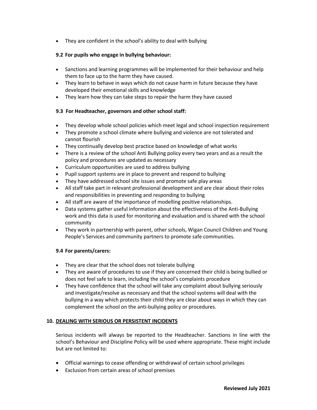• They are confident in the school's ability to deal with bullying

#### **9.2 For pupils who engage in bullying behaviour:**

- Sanctions and learning programmes will be implemented for their behaviour and help them to face up to the harm they have caused.
- They learn to behave in ways which do not cause harm in future because they have developed their emotional skills and knowledge
- They learn how they can take steps to repair the harm they have caused

#### **9.3 For Headteacher, governors and other school staff:**

- They develop whole school policies which meet legal and school inspection requirement
- They promote a school climate where bullying and violence are not tolerated and cannot flourish
- They continually develop best practice based on knowledge of what works
- There is a review of the school Anti Bullying policy every two years and as a result the policy and procedures are updated as necessary
- Curriculum opportunities are used to address bullying
- Pupil support systems are in place to prevent and respond to bullying
- They have addressed school site issues and promote safe play areas
- All staff take part in relevant professional development and are clear about their roles and responsibilities in preventing and responding to bullying
- All staff are aware of the importance of modelling positive relationships.
- Data systems gather useful information about the effectiveness of the Anti-Bullying work and this data is used for monitoring and evaluation and is shared with the school community
- They work in partnership with parent, other schools, Wigan Council Children and Young People's Services and community partners to promote safe communities.

#### **9.4 For parents/carers:**

- They are clear that the school does not tolerate bullying
- They are aware of procedures to use if they are concerned their child is being bullied or does not feel safe to learn, including the school's complaints procedure
- They have confidence that the school will take any complaint about bullying seriously and investigate/resolve as necessary and that the school systems will deal with the bullying in a way which protects their child they are clear about ways in which they can complement the school on the anti-bullying policy or procedures.

#### **10. DEALING WITH SERIOUS OR PERSISTENT INCIDENTS**

Serious incidents will always be reported to the Headteacher. Sanctions in line with the school's Behaviour and Discipline Policy will be used where appropriate. These might include but are not limited to:

- Official warnings to cease offending or withdrawal of certain school privileges
- Exclusion from certain areas of school premises